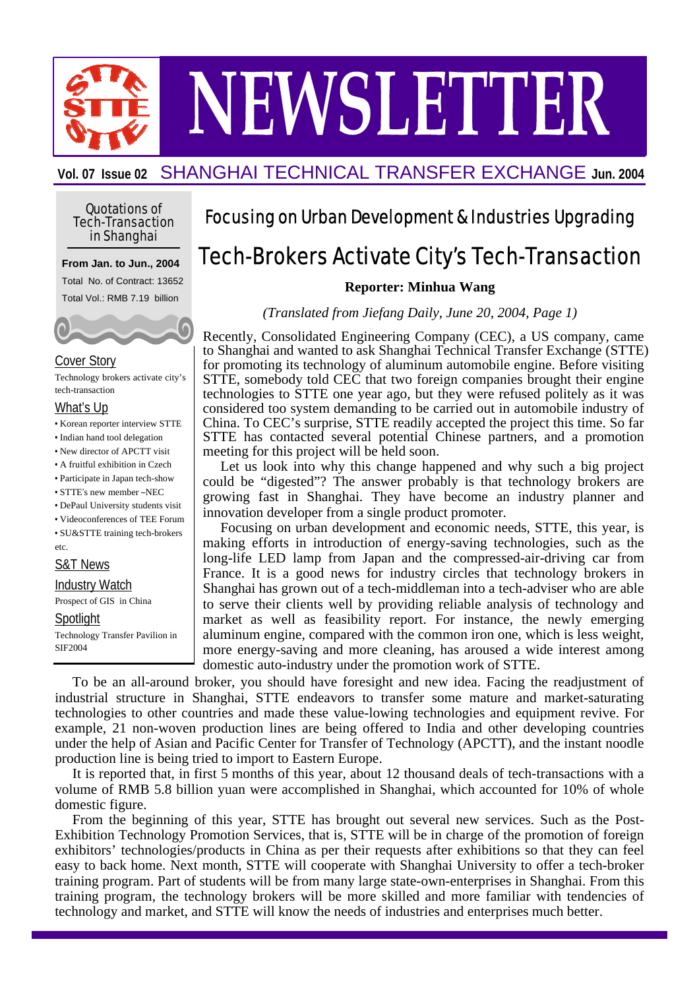NEWSLETTER

**Vol. 07 Issue 02** SHANGHAI TECHNICAL TRANSFER EXCHANGE **Jun. 2004**

#### Quotations of Tech-Transaction in Shanghai

#### **From Jan. to Jun., 2004**

Total No. of Contract: 13652 Total Vol.: RMB 7.19 billion



#### Cover Story

Technology brokers activate city's tech-transaction

#### What's Up

- Korean reporter interview STTE
- Indian hand tool delegation
- New director of APCTT visit
- A fruitful exhibition in Czech
- Participate in Japan tech-show
- STTE's new member –NEC
- DePaul University students visit
- Videoconferences of TEE Forum

• SU&STTE training tech-brokers etc.

#### S&T News

Industry Watch

Prospect of GIS in China

#### Spotlight

Technology Transfer Pavilion in SIF2004

### Focusing on Urban Development & Industries Upgrading

# Tech-Brokers Activate City's Tech-Transaction

**Reporter: Minhua Wang**

*(Translated from Jiefang Daily, June 20, 2004, Page 1)*

Recently, Consolidated Engineering Company (CEC), a US company, came to Shanghai and wanted to ask Shanghai Technical Transfer Exchange (STTE) for promoting its technology of aluminum automobile engine. Before visiting STTE, somebody told CEC that two foreign companies brought their engine technologies to STTE one year ago, but they were refused politely as it was considered too system demanding to be carried out in automobile industry of China. To CEC's surprise, STTE readily accepted the project this time. So far STTE has contacted several potential Chinese partners, and a promotion meeting for this project will be held soon.

Let us look into why this change happened and why such a big project could be "digested"? The answer probably is that technology brokers are growing fast in Shanghai. They have become an industry planner and innovation developer from a single product promoter.

Focusing on urban development and economic needs, STTE, this year, is making efforts in introduction of energy-saving technologies, such as the long-life LED lamp from Japan and the compressed-air-driving car from France. It is a good news for industry circles that technology brokers in Shanghai has grown out of a tech-middleman into a tech-adviser who are able to serve their clients well by providing reliable analysis of technology and market as well as feasibility report. For instance, the newly emerging aluminum engine, compared with the common iron one, which is less weight, more energy-saving and more cleaning, has aroused a wide interest among domestic auto-industry under the promotion work of STTE.

To be an all-around broker, you should have foresight and new idea. Facing the readjustment of industrial structure in Shanghai, STTE endeavors to transfer some mature and market-saturating technologies to other countries and made these value-lowing technologies and equipment revive. For example, 21 non-woven production lines are being offered to India and other developing countries under the help of Asian and Pacific Center for Transfer of Technology (APCTT), and the instant noodle production line is being tried to import to Eastern Europe.

It is reported that, in first 5 months of this year, about 12 thousand deals of tech-transactions with a volume of RMB 5.8 billion yuan were accomplished in Shanghai, which accounted for 10% of whole domestic figure.

From the beginning of this year, STTE has brought out several new services. Such as the Post-Exhibition Technology Promotion Services, that is, STTE will be in charge of the promotion of foreign exhibitors' technologies/products in China as per their requests after exhibitions so that they can feel easy to back home. Next month, STTE will cooperate with Shanghai University to offer a tech-broker training program. Part of students will be from many large state-own-enterprises in Shanghai. From this training program, the technology brokers will be more skilled and more familiar with tendencies of technology and market, and STTE will know the needs of industries and enterprises much better.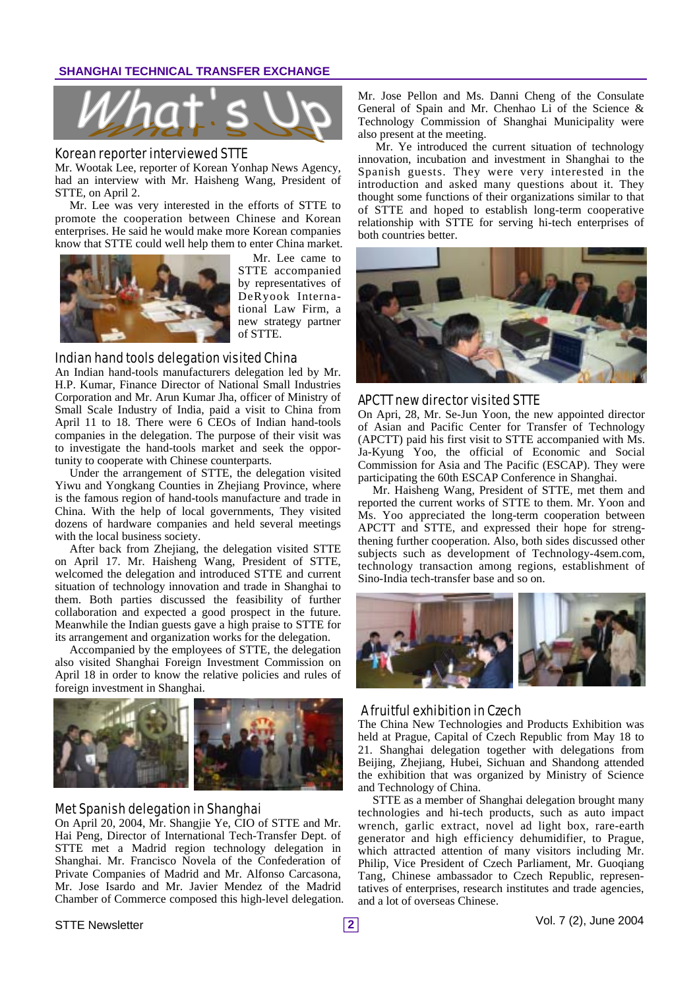

#### Korean reporter interviewed STTE

Mr. Wootak Lee, reporter of Korean Yonhap News Agency, had an interview with Mr. Haisheng Wang, President of STTE, on April 2.

Mr. Lee was very interested in the efforts of STTE to promote the cooperation between Chinese and Korean enterprises. He said he would make more Korean companies know that STTE could well help them to enter China market.



Mr. Lee came to STTE accompanied by representatives of DeRyook International Law Firm, a new strategy partner of STTE.

#### Indian hand tools delegation visited China

An Indian hand-tools manufacturers delegation led by Mr. H.P. Kumar, Finance Director of National Small Industries Corporation and Mr. Arun Kumar Jha, officer of Ministry of Small Scale Industry of India, paid a visit to China from April 11 to 18. There were 6 CEOs of Indian hand-tools companies in the delegation. The purpose of their visit was to investigate the hand-tools market and seek the opportunity to cooperate with Chinese counterparts.

Under the arrangement of STTE, the delegation visited Yiwu and Yongkang Counties in Zhejiang Province, where is the famous region of hand-tools manufacture and trade in China. With the help of local governments, They visited dozens of hardware companies and held several meetings with the local business society.

After back from Zhejiang, the delegation visited STTE on April 17. Mr. Haisheng Wang, President of STTE, welcomed the delegation and introduced STTE and current situation of technology innovation and trade in Shanghai to them. Both parties discussed the feasibility of further collaboration and expected a good prospect in the future. Meanwhile the Indian guests gave a high praise to STTE for its arrangement and organization works for the delegation.

Accompanied by the employees of STTE, the delegation also visited Shanghai Foreign Investment Commission on April 18 in order to know the relative policies and rules of foreign investment in Shanghai.



#### Met Spanish delegation in Shanghai

On April 20, 2004, Mr. Shangjie Ye, CIO of STTE and Mr. Hai Peng, Director of International Tech-Transfer Dept. of STTE met a Madrid region technology delegation in Shanghai. Mr. Francisco Novela of the Confederation of Private Companies of Madrid and Mr. Alfonso Carcasona, Mr. Jose Isardo and Mr. Javier Mendez of the Madrid Chamber of Commerce composed this high-level delegation. Mr. Jose Pellon and Ms. Danni Cheng of the Consulate General of Spain and Mr. Chenhao Li of the Science & Technology Commission of Shanghai Municipality were also present at the meeting.

Mr. Ye introduced the current situation of technology innovation, incubation and investment in Shanghai to the Spanish guests. They were very interested in the introduction and asked many questions about it. They thought some functions of their organizations similar to that of STTE and hoped to establish long-term cooperative relationship with STTE for serving hi-tech enterprises of both countries better.



#### APCTT new director visited STTE

On Apri, 28, Mr. Se-Jun Yoon, the new appointed director of Asian and Pacific Center for Transfer of Technology (APCTT) paid his first visit to STTE accompanied with Ms. Ja-Kyung Yoo, the official of Economic and Social Commission for Asia and The Pacific (ESCAP). They were participating the 60th ESCAP Conference in Shanghai.

Mr. Haisheng Wang, President of STTE, met them and reported the current works of STTE to them. Mr. Yoon and Ms. Yoo appreciated the long-term cooperation between APCTT and STTE, and expressed their hope for strengthening further cooperation. Also, both sides discussed other subjects such as development of Technology-4sem.com, technology transaction among regions, establishment of Sino-India tech-transfer base and so on.



#### A fruitful exhibition in Czech

The China New Technologies and Products Exhibition was held at Prague, Capital of Czech Republic from May 18 to 21. Shanghai delegation together with delegations from Beijing, Zhejiang, Hubei, Sichuan and Shandong attended the exhibition that was organized by Ministry of Science and Technology of China.

STTE as a member of Shanghai delegation brought many technologies and hi-tech products, such as auto impact wrench, garlic extract, novel ad light box, rare-earth generator and high efficiency dehumidifier, to Prague, which attracted attention of many visitors including Mr. Philip, Vice President of Czech Parliament, Mr. Guoqiang Tang, Chinese ambassador to Czech Republic, representatives of enterprises, research institutes and trade agencies, and a lot of overseas Chinese.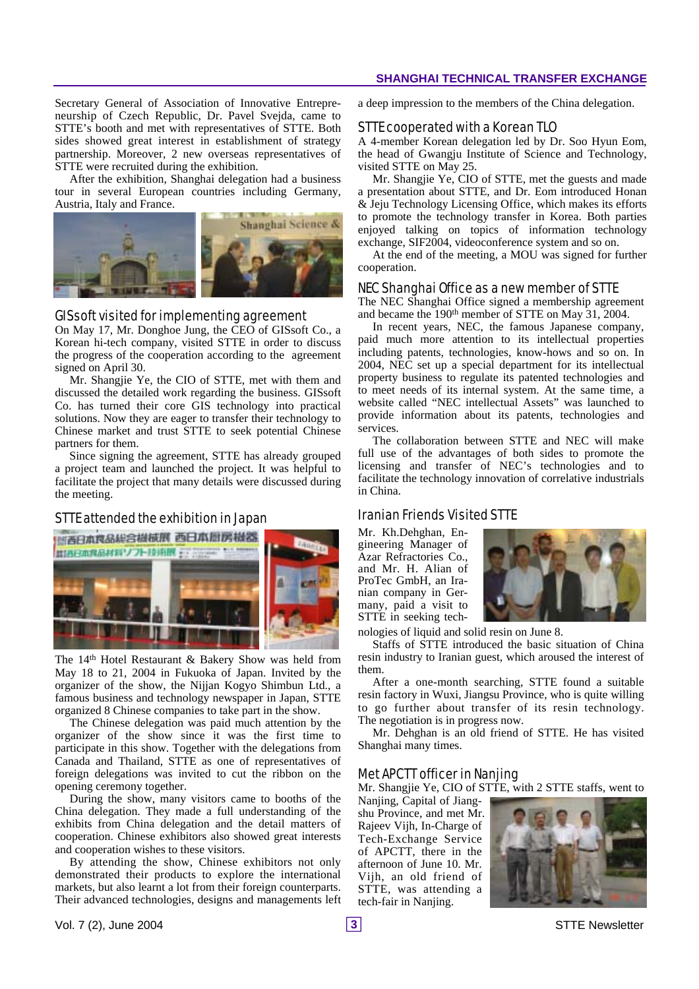Secretary General of Association of Innovative Entrepreneurship of Czech Republic, Dr. Pavel Svejda, came to STTE's booth and met with representatives of STTE. Both sides showed great interest in establishment of strategy partnership. Moreover, 2 new overseas representatives of STTE were recruited during the exhibition.

After the exhibition, Shanghai delegation had a business tour in several European countries including Germany, Austria, Italy and France.



#### GISsoft visited for implementing agreement

On May 17, Mr. Donghoe Jung, the CEO of GISsoft Co., a Korean hi-tech company, visited STTE in order to discuss the progress of the cooperation according to the agreement signed on April 30.

Mr. Shangjie Ye, the CIO of STTE, met with them and discussed the detailed work regarding the business. GISsoft Co. has turned their core GIS technology into practical solutions. Now they are eager to transfer their technology to Chinese market and trust STTE to seek potential Chinese partners for them.

Since signing the agreement, STTE has already grouped a project team and launched the project. It was helpful to facilitate the project that many details were discussed during the meeting.

#### STTE attended the exhibition in Japan



The 14<sup>th</sup> Hotel Restaurant & Bakery Show was held from May 18 to 21, 2004 in Fukuoka of Japan. Invited by the organizer of the show, the Nijjan Kogyo Shimbun Ltd., a famous business and technology newspaper in Japan, STTE organized 8 Chinese companies to take part in the show.

The Chinese delegation was paid much attention by the organizer of the show since it was the first time to participate in this show. Together with the delegations from Canada and Thailand, STTE as one of representatives of foreign delegations was invited to cut the ribbon on the opening ceremony together.

During the show, many visitors came to booths of the China delegation. They made a full understanding of the exhibits from China delegation and the detail matters of cooperation. Chinese exhibitors also showed great interests and cooperation wishes to these visitors.

By attending the show, Chinese exhibitors not only demonstrated their products to explore the international markets, but also learnt a lot from their foreign counterparts. Their advanced technologies, designs and managements left a deep impression to the members of the China delegation.

#### STTE cooperated with a Korean TLO

A 4-member Korean delegation led by Dr. Soo Hyun Eom, the head of Gwangju Institute of Science and Technology, visited STTE on May 25.

Mr. Shangjie Ye, CIO of STTE, met the guests and made a presentation about STTE, and Dr. Eom introduced Honan & Jeju Technology Licensing Office, which makes its efforts to promote the technology transfer in Korea. Both parties enjoyed talking on topics of information technology exchange, SIF2004, videoconference system and so on.

At the end of the meeting, a MOU was signed for further cooperation.

#### NEC Shanghai Office as a new member of STTE

The NEC Shanghai Office signed a membership agreement and became the 190<sup>th</sup> member of STTE on May 31, 2004.

In recent years, NEC, the famous Japanese company, paid much more attention to its intellectual properties including patents, technologies, know-hows and so on. In 2004, NEC set up a special department for its intellectual property business to regulate its patented technologies and to meet needs of its internal system. At the same time, a website called "NEC intellectual Assets" was launched to provide information about its patents, technologies and services.

The collaboration between STTE and NEC will make full use of the advantages of both sides to promote the licensing and transfer of NEC's technologies and to facilitate the technology innovation of correlative industrials in China.

#### Iranian Friends Visited STTE

Mr. Kh.Dehghan, Engineering Manager of Azar Refractories Co., and Mr. H. Alian of ProTec GmbH, an Iranian company in Germany, paid a visit to STTE in seeking tech-



nologies of liquid and solid resin on June 8.

Staffs of STTE introduced the basic situation of China resin industry to Iranian guest, which aroused the interest of them.

After a one-month searching, STTE found a suitable resin factory in Wuxi, Jiangsu Province, who is quite willing to go further about transfer of its resin technology. The negotiation is in progress now.

Mr. Dehghan is an old friend of STTE. He has visited Shanghai many times.

#### Met APCTT officer in Nanjing

Mr. Shangjie Ye, CIO of STTE, with 2 STTE staffs, went to

Nanjing, Capital of Jiangshu Province, and met Mr. Rajeev Vijh, In-Charge of Tech-Exchange Service of APCTT, there in the afternoon of June 10. Mr. Vijh, an old friend of STTE, was attending a tech-fair in Nanjing.

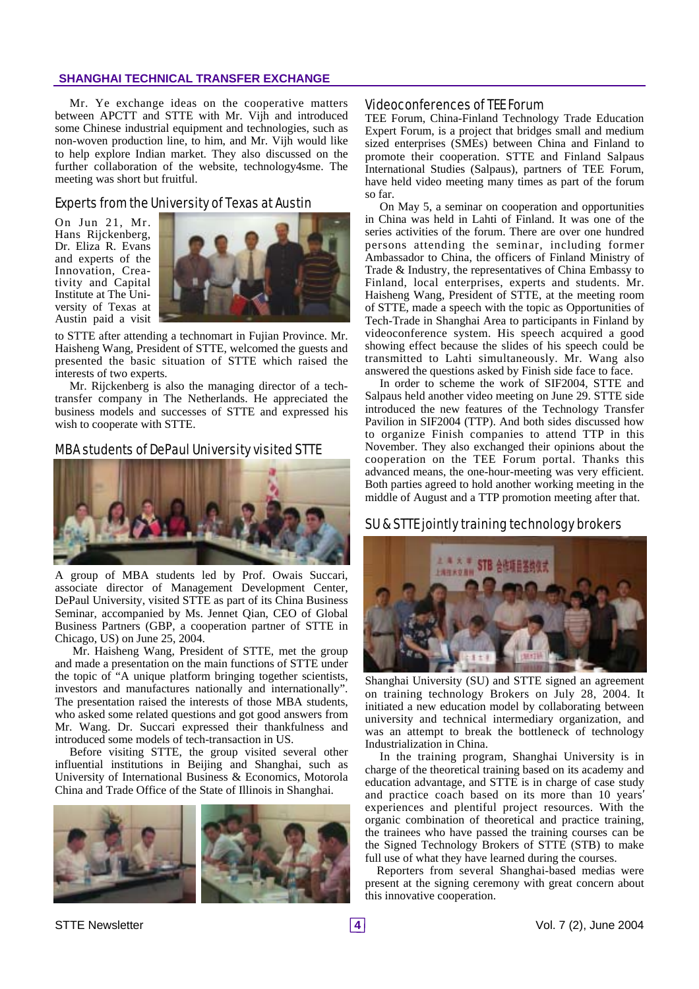#### **SHANGHAI TECHNICAL TRANSFER EXCHANGE**

Mr. Ye exchange ideas on the cooperative matters between APCTT and STTE with Mr. Vijh and introduced some Chinese industrial equipment and technologies, such as non-woven production line, to him, and Mr. Vijh would like to help explore Indian market. They also discussed on the further collaboration of the website, technology4sme. The meeting was short but fruitful.

#### Experts from the University of Texas at Austin

On Jun 21, Mr. Hans Rijckenberg, Dr. Eliza R. Evans and experts of the Innovation, Creativity and Capital Institute at The University of Texas at Austin paid a visit



to STTE after attending a technomart in Fujian Province. Mr. Haisheng Wang, President of STTE, welcomed the guests and presented the basic situation of STTE which raised the interests of two experts.

Mr. Rijckenberg is also the managing director of a techtransfer company in The Netherlands. He appreciated the business models and successes of STTE and expressed his wish to cooperate with STTE.

#### MBA students of DePaul University visited STTE



A group of MBA students led by Prof. Owais Succari, associate director of Management Development Center, DePaul University, visited STTE as part of its China Business Seminar, accompanied by Ms. Jennet Qian, CEO of Global Business Partners (GBP, a cooperation partner of STTE in Chicago, US) on June 25, 2004.

Mr. Haisheng Wang, President of STTE, met the group and made a presentation on the main functions of STTE under the topic of "A unique platform bringing together scientists, investors and manufactures nationally and internationally". The presentation raised the interests of those MBA students, who asked some related questions and got good answers from Mr. Wang. Dr. Succari expressed their thankfulness and introduced some models of tech-transaction in US.

Before visiting STTE, the group visited several other influential institutions in Beijing and Shanghai, such as University of International Business & Economics, Motorola China and Trade Office of the State of Illinois in Shanghai.



#### Videoconferences of TEE Forum

TEE Forum, China-Finland Technology Trade Education Expert Forum, is a project that bridges small and medium sized enterprises (SMEs) between China and Finland to promote their cooperation. STTE and Finland Salpaus International Studies (Salpaus), partners of TEE Forum, have held video meeting many times as part of the forum so far.

On May 5, a seminar on cooperation and opportunities in China was held in Lahti of Finland. It was one of the series activities of the forum. There are over one hundred persons attending the seminar, including former Ambassador to China, the officers of Finland Ministry of Trade & Industry, the representatives of China Embassy to Finland, local enterprises, experts and students. Mr. Haisheng Wang, President of STTE, at the meeting room of STTE, made a speech with the topic as Opportunities of Tech-Trade in Shanghai Area to participants in Finland by videoconference system. His speech acquired a good showing effect because the slides of his speech could be transmitted to Lahti simultaneously. Mr. Wang also answered the questions asked by Finish side face to face.

In order to scheme the work of SIF2004, STTE and Salpaus held another video meeting on June 29. STTE side introduced the new features of the Technology Transfer Pavilion in SIF2004 (TTP). And both sides discussed how to organize Finish companies to attend TTP in this November. They also exchanged their opinions about the cooperation on the TEE Forum portal. Thanks this advanced means, the one-hour-meeting was very efficient. Both parties agreed to hold another working meeting in the middle of August and a TTP promotion meeting after that.

#### SU & STTE jointly training technology brokers



Shanghai University (SU) and STTE signed an agreement on training technology Brokers on July 28, 2004. It initiated a new education model by collaborating between university and technical intermediary organization, and was an attempt to break the bottleneck of technology Industrialization in China.

In the training program, Shanghai University is in charge of the theoretical training based on its academy and education advantage, and STTE is in charge of case study and practice coach based on its more than 10 years' experiences and plentiful project resources. With the organic combination of theoretical and practice training, the trainees who have passed the training courses can be the Signed Technology Brokers of STTE (STB) to make full use of what they have learned during the courses.

Reporters from several Shanghai-based medias were present at the signing ceremony with great concern about this innovative cooperation.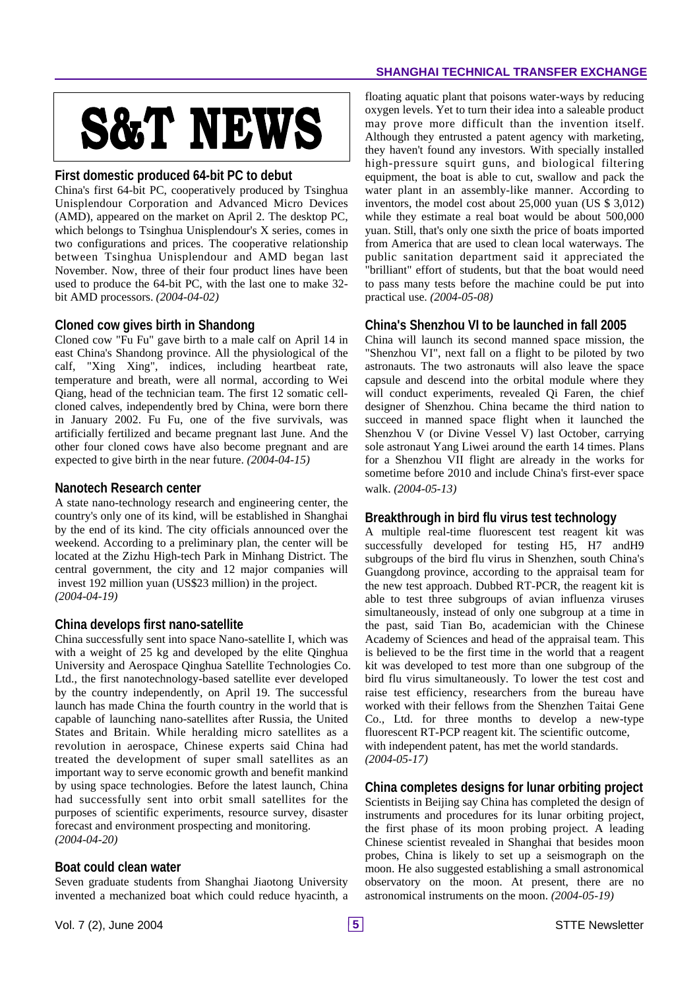# **S&T NEWS**

#### **First domestic produced 64-bit PC to debut**

China's first 64-bit PC, cooperatively produced by Tsinghua Unisplendour Corporation and Advanced Micro Devices (AMD), appeared on the market on April 2. The desktop PC, which belongs to Tsinghua Unisplendour's X series, comes in two configurations and prices. The cooperative relationship between Tsinghua Unisplendour and AMD began last November. Now, three of their four product lines have been used to produce the 64-bit PC, with the last one to make 32 bit AMD processors. *(2004-04-02)*

#### **Cloned cow gives birth in Shandong**

Cloned cow "Fu Fu" gave birth to a male calf on April 14 in east China's Shandong province. All the physiological of the calf, "Xing Xing", indices, including heartbeat rate, temperature and breath, were all normal, according to Wei Qiang, head of the technician team. The first 12 somatic cellcloned calves, independently bred by China, were born there in January 2002. Fu Fu, one of the five survivals, was artificially fertilized and became pregnant last June. And the other four cloned cows have also become pregnant and are expected to give birth in the near future. *(2004-04-15)*

#### **Nanotech Research center**

A state nano-technology research and engineering center, the country's only one of its kind, will be established in Shanghai by the end of its kind. The city officials announced over the weekend. According to a preliminary plan, the center will be located at the Zizhu High-tech Park in Minhang District. The central government, the city and 12 major companies will invest 192 million yuan (US\$23 million) in the project. *(2004-04-19)*

#### **China develops first nano-satellite**

China successfully sent into space Nano-satellite I, which was with a weight of 25 kg and developed by the elite Qinghua University and Aerospace Qinghua Satellite Technologies Co. Ltd., the first nanotechnology-based satellite ever developed by the country independently, on April 19. The successful launch has made China the fourth country in the world that is capable of launching nano-satellites after Russia, the United States and Britain. While heralding micro satellites as a revolution in aerospace, Chinese experts said China had treated the development of super small satellites as an important way to serve economic growth and benefit mankind by using space technologies. Before the latest launch, China had successfully sent into orbit small satellites for the purposes of scientific experiments, resource survey, disaster forecast and environment prospecting and monitoring. *(2004-04-20)*

#### **Boat could clean water**

Seven graduate students from Shanghai Jiaotong University invented a mechanized boat which could reduce hyacinth, a floating aquatic plant that poisons water-ways by reducing oxygen levels. Yet to turn their idea into a saleable product may prove more difficult than the invention itself. Although they entrusted a patent agency with marketing, they haven't found any investors. With specially installed high-pressure squirt guns, and biological filtering equipment, the boat is able to cut, swallow and pack the water plant in an assembly-like manner. According to inventors, the model cost about 25,000 yuan (US \$ 3,012) while they estimate a real boat would be about 500,000 yuan. Still, that's only one sixth the price of boats imported from America that are used to clean local waterways. The public sanitation department said it appreciated the "brilliant" effort of students, but that the boat would need to pass many tests before the machine could be put into practical use. *(2004-05-08)*

#### **China's Shenzhou VI to be launched in fall 2005**

China will launch its second manned space mission, the "Shenzhou VI", next fall on a flight to be piloted by two astronauts. The two astronauts will also leave the space capsule and descend into the orbital module where they will conduct experiments, revealed Qi Faren, the chief designer of Shenzhou. China became the third nation to succeed in manned space flight when it launched the Shenzhou V (or Divine Vessel V) last October, carrying sole astronaut Yang Liwei around the earth 14 times. Plans for a Shenzhou VII flight are already in the works for sometime before 2010 and include China's first-ever space walk. *(2004-05-13)*

#### **Breakthrough in bird flu virus test technology**

A multiple real-time fluorescent test reagent kit was successfully developed for testing H5, H7 andH9 subgroups of the bird flu virus in Shenzhen, south China's Guangdong province, according to the appraisal team for the new test approach. Dubbed RT-PCR, the reagent kit is able to test three subgroups of avian influenza viruses simultaneously, instead of only one subgroup at a time in the past, said Tian Bo, academician with the Chinese Academy of Sciences and head of the appraisal team. This is believed to be the first time in the world that a reagent kit was developed to test more than one subgroup of the bird flu virus simultaneously. To lower the test cost and raise test efficiency, researchers from the bureau have worked with their fellows from the Shenzhen Taitai Gene Co., Ltd. for three months to develop a new-type fluorescent RT-PCP reagent kit. The scientific outcome, with independent patent, has met the world standards. *(2004-05-17)*

#### **China completes designs for lunar orbiting project**

Scientists in Beijing say China has completed the design of instruments and procedures for its lunar orbiting project, the first phase of its moon probing project. A leading Chinese scientist revealed in Shanghai that besides moon probes, China is likely to set up a seismograph on the moon. He also suggested establishing a small astronomical observatory on the moon. At present, there are no astronomical instruments on the moon. *(2004-05-19)*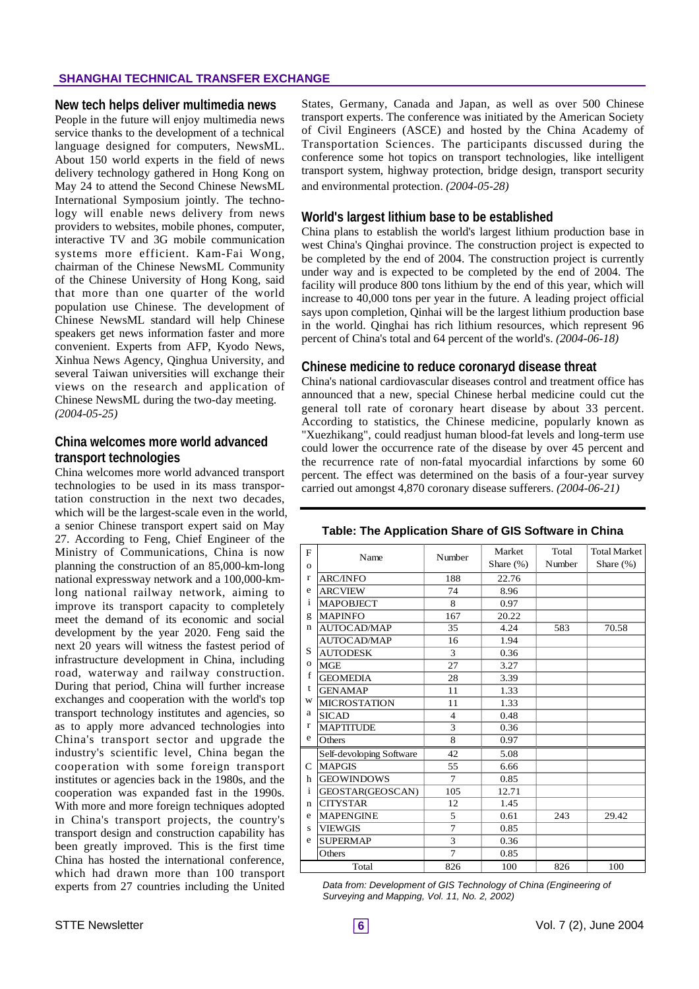#### **SHANGHAI TECHNICAL TRANSFER EXCHANGE**

#### **New tech helps deliver multimedia news**

People in the future will enjoy multimedia news service thanks to the development of a technical language designed for computers, NewsML. About 150 world experts in the field of news delivery technology gathered in Hong Kong on May 24 to attend the Second Chinese NewsML International Symposium jointly. The technology will enable news delivery from news providers to websites, mobile phones, computer, interactive TV and 3G mobile communication systems more efficient. Kam-Fai Wong, chairman of the Chinese NewsML Community of the Chinese University of Hong Kong, said that more than one quarter of the world population use Chinese. The development of Chinese NewsML standard will help Chinese speakers get news information faster and more convenient. Experts from AFP, Kyodo News, Xinhua News Agency, Qinghua University, and several Taiwan universities will exchange their views on the research and application of Chinese NewsML during the two-day meeting. *(2004-05-25)*

#### **China welcomes more world advanced transport technologies**

China welcomes more world advanced transport technologies to be used in its mass transportation construction in the next two decades, which will be the largest-scale even in the world. a senior Chinese transport expert said on May 27. According to Feng, Chief Engineer of the Ministry of Communications, China is now planning the construction of an 85,000-km-long national expressway network and a 100,000-kmlong national railway network, aiming to improve its transport capacity to completely meet the demand of its economic and social development by the year 2020. Feng said the next 20 years will witness the fastest period of infrastructure development in China, including road, waterway and railway construction. During that period, China will further increase exchanges and cooperation with the world's top transport technology institutes and agencies, so as to apply more advanced technologies into China's transport sector and upgrade the industry's scientific level, China began the cooperation with some foreign transport institutes or agencies back in the 1980s, and the cooperation was expanded fast in the 1990s. With more and more foreign techniques adopted in China's transport projects, the country's transport design and construction capability has been greatly improved. This is the first time China has hosted the international conference, which had drawn more than 100 transport experts from 27 countries including the United

States, Germany, Canada and Japan, as well as over 500 Chinese transport experts. The conference was initiated by the American Society of Civil Engineers (ASCE) and hosted by the China Academy of Transportation Sciences. The participants discussed during the conference some hot topics on transport technologies, like intelligent transport system, highway protection, bridge design, transport security and environmental protection. *(2004-05-28)*

#### **World's largest lithium base to be established**

China plans to establish the world's largest lithium production base in west China's Qinghai province. The construction project is expected to be completed by the end of 2004. The construction project is currently under way and is expected to be completed by the end of 2004. The facility will produce 800 tons lithium by the end of this year, which will increase to 40,000 tons per year in the future. A leading project official says upon completion, Qinhai will be the largest lithium production base in the world. Qinghai has rich lithium resources, which represent 96 percent of China's total and 64 percent of the world's. *(2004-06-18)*

#### **Chinese medicine to reduce coronaryd disease threat**

China's national cardiovascular diseases control and treatment office has announced that a new, special Chinese herbal medicine could cut the general toll rate of coronary heart disease by about 33 percent. According to statistics, the Chinese medicine, popularly known as "Xuezhikang", could readjust human blood-fat levels and long-term use could lower the occurrence rate of the disease by over 45 percent and the recurrence rate of non-fatal myocardial infarctions by some 60 percent. The effect was determined on the basis of a four-year survey carried out amongst 4,870 coronary disease sufferers. *(2004-06-21)*

| F            | Name                     | Number         | Market       | Total  | <b>Total Market</b> |
|--------------|--------------------------|----------------|--------------|--------|---------------------|
| $\Omega$     |                          |                | Share $(\%)$ | Number | Share $(\%)$        |
| $\mathbf{r}$ | <b>ARC/INFO</b>          | 188            | 22.76        |        |                     |
| e            | <b>ARCVIEW</b>           | 74             | 8.96         |        |                     |
| i            | <b>MAPOBJECT</b>         | 8              | 0.97         |        |                     |
| g            | <b>MAPINFO</b>           | 167            | 20.22        |        |                     |
| n            | <b>AUTOCAD/MAP</b>       | 35             | 4.24         | 583    | 70.58               |
|              | <b>AUTOCAD/MAP</b>       | 16             | 1.94         |        |                     |
| S            | <b>AUTODESK</b>          | 3              | 0.36         |        |                     |
| $\mathbf{o}$ | <b>MGE</b>               | 27             | 3.27         |        |                     |
| f            | <b>GEOMEDIA</b>          | 28             | 3.39         |        |                     |
| t            | <b>GENAMAP</b>           | 11             | 1.33         |        |                     |
| W            | <b>MICROSTATION</b>      | 11             | 1.33         |        |                     |
| a            | <b>SICAD</b>             | 4              | 0.48         |        |                     |
| $\mathbf{r}$ | <b>MAPTITUDE</b>         | 3              | 0.36         |        |                     |
| e            | Others                   | 8              | 0.97         |        |                     |
|              | Self-devoloping Software | 42             | 5.08         |        |                     |
| C            | <b>MAPGIS</b>            | 55             | 6.66         |        |                     |
| h            | <b>GEOWINDOWS</b>        | 7              | 0.85         |        |                     |
| $\mathbf{i}$ | GEOSTAR(GEOSCAN)         | 105            | 12.71        |        |                     |
| n            | <b>CITYSTAR</b>          | 12             | 1.45         |        |                     |
| e            | <b>MAPENGINE</b>         | 5              | 0.61         | 243    | 29.42               |
| S            | <b>VIEWGIS</b>           | $\overline{7}$ | 0.85         |        |                     |
| e            | <b>SUPERMAP</b>          | 3              | 0.36         |        |                     |
|              | Others                   | $\overline{7}$ | 0.85         |        |                     |
| Total        |                          | 826            | 100          | 826    | 100                 |

#### **Table: The Application Share of GIS Software in China**

*Data from: Development of GIS Technology of China (Engineering of Surveying and Mapping, Vol. 11, No. 2, 2002)*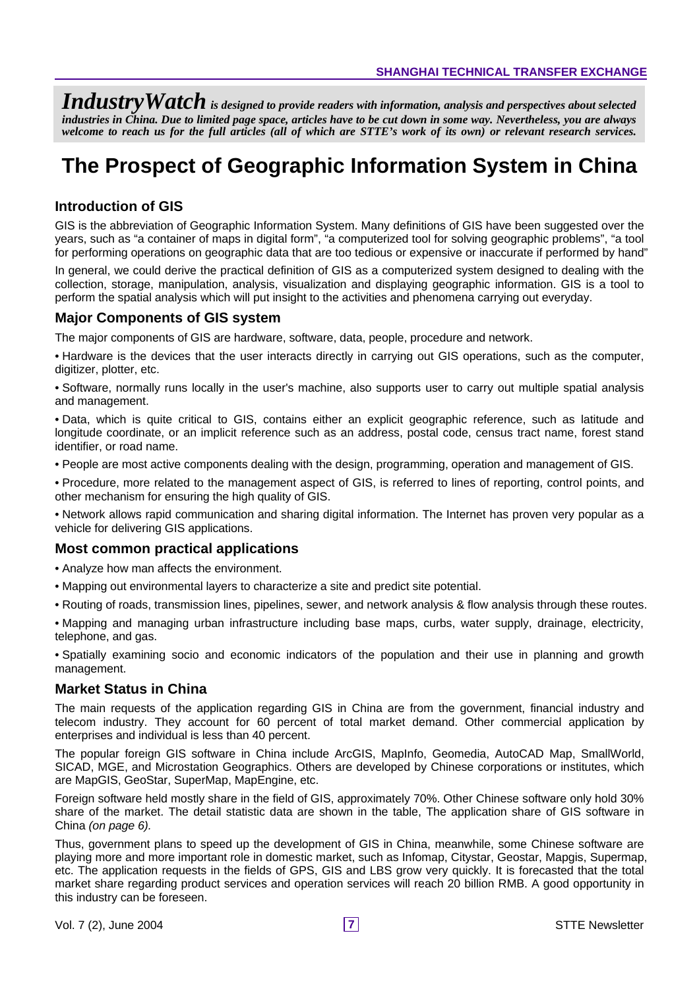*IndustryWatch is designed to provide readers with information, analysis and perspectives about selected industries in China. Due to limited page space, articles have to be cut down in some way. Nevertheless, you are always welcome to reach us for the full articles (all of which are STTE's work of its own) or relevant research services.*

# **The Prospect of Geographic Information System in China**

#### **Introduction of GIS**

GIS is the abbreviation of Geographic Information System. Many definitions of GIS have been suggested over the years, such as "a container of maps in digital form", "a computerized tool for solving geographic problems", "a tool for performing operations on geographic data that are too tedious or expensive or inaccurate if performed by hand"

In general, we could derive the practical definition of GIS as a computerized system designed to dealing with the collection, storage, manipulation, analysis, visualization and displaying geographic information. GIS is a tool to perform the spatial analysis which will put insight to the activities and phenomena carrying out everyday.

#### **Major Components of GIS system**

The major components of GIS are hardware, software, data, people, procedure and network.

- Hardware is the devices that the user interacts directly in carrying out GIS operations, such as the computer, digitizer, plotter, etc.
- Software, normally runs locally in the user's machine, also supports user to carry out multiple spatial analysis and management.
- Data, which is quite critical to GIS, contains either an explicit geographic reference, such as latitude and longitude coordinate, or an implicit reference such as an address, postal code, census tract name, forest stand identifier, or road name.
- People are most active components dealing with the design, programming, operation and management of GIS.
- Procedure, more related to the management aspect of GIS, is referred to lines of reporting, control points, and other mechanism for ensuring the high quality of GIS.
- Network allows rapid communication and sharing digital information. The Internet has proven very popular as a vehicle for delivering GIS applications.

#### **Most common practical applications**

- Analyze how man affects the environment.
- Mapping out environmental layers to characterize a site and predict site potential.
- Routing of roads, transmission lines, pipelines, sewer, and network analysis & flow analysis through these routes.
- Mapping and managing urban infrastructure including base maps, curbs, water supply, drainage, electricity, telephone, and gas.

• Spatially examining socio and economic indicators of the population and their use in planning and growth management.

#### **Market Status in China**

The main requests of the application regarding GIS in China are from the government, financial industry and telecom industry. They account for 60 percent of total market demand. Other commercial application by enterprises and individual is less than 40 percent.

The popular foreign GIS software in China include ArcGIS, MapInfo, Geomedia, AutoCAD Map, SmallWorld, SICAD, MGE, and Microstation Geographics. Others are developed by Chinese corporations or institutes, which are MapGIS, GeoStar, SuperMap, MapEngine, etc.

Foreign software held mostly share in the field of GIS, approximately 70%. Other Chinese software only hold 30% share of the market. The detail statistic data are shown in the table, The application share of GIS software in China *(on page 6).*

Thus, government plans to speed up the development of GIS in China, meanwhile, some Chinese software are playing more and more important role in domestic market, such as Infomap, Citystar, Geostar, Mapgis, Supermap, etc. The application requests in the fields of GPS, GIS and LBS grow very quickly. It is forecasted that the total market share regarding product services and operation services will reach 20 billion RMB. A good opportunity in this industry can be foreseen.